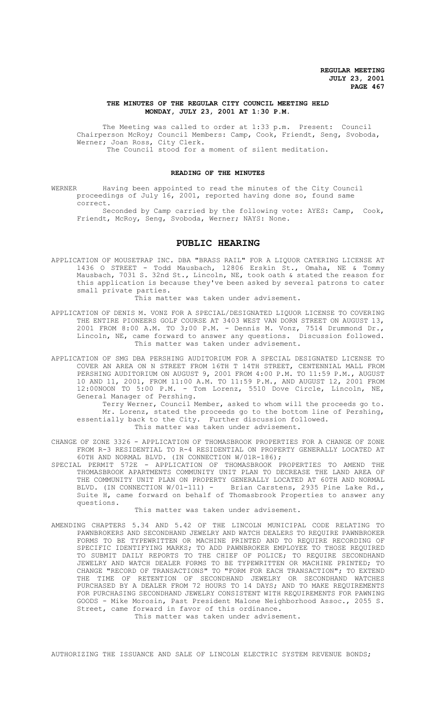### **THE MINUTES OF THE REGULAR CITY COUNCIL MEETING HELD MONDAY, JULY 23, 2001 AT 1:30 P.M.**

The Meeting was called to order at 1:33 p.m. Present: Council Chairperson McRoy; Council Members: Camp, Cook, Friendt, Seng, Svoboda, Werner; Joan Ross, City Clerk. The Council stood for a moment of silent meditation.

### **READING OF THE MINUTES**

WERNER Having been appointed to read the minutes of the City Council proceedings of July 16, 2001, reported having done so, found same correct.

Seconded by Camp carried by the following vote: AYES: Camp, Cook, Friendt, McRoy, Seng, Svoboda, Werner; NAYS: None.

# **PUBLIC HEARING**

APPLICATION OF MOUSETRAP INC. DBA "BRASS RAIL" FOR A LIQUOR CATERING LICENSE AT 1436 O STREET - Todd Mausbach, 12806 Erskin St., Omaha, NE & Tommy Mausbach, 7031 S. 32nd St., Lincoln, NE, took oath & stated the reason for this application is because they've been asked by several patrons to cater small private parties.

This matter was taken under advisement.

- APPLICATION OF DENIS M. VONZ FOR A SPECIAL/DESIGNATED LIQUOR LICENSE TO COVERING THE ENTIRE PIONEERS GOLF COURSE AT 3403 WEST VAN DORN STREET ON AUGUST 13, 2001 FROM 8:00 A.M. TO 3;00 P.M. - Dennis M. Vonz, 7514 Drummond Dr., Lincoln, NE, came forward to answer any questions. Discussion followed. This matter was taken under advisement.
- APPLICATION OF SMG DBA PERSHING AUDITORIUM FOR A SPECIAL DESIGNATED LICENSE TO COVER AN AREA ON N STREET FROM 16TH T 14TH STREET, CENTENNIAL MALL FROM PERSHING AUDITORIUM ON AUGUST 9, 2001 FROM 4:00 P.M. TO 11:59 P.M., AUGUST 10 AND 11, 2001, FROM 11:00 A.M. TO 11:59 P.M., AND AUGUST 12, 2001 FROM 12:00NOON TO 5:00 P.M. - Tom Lorenz, 5510 Dove Circle, Lincoln, NE, General Manager of Pershing.

Terry Werner, Council Member, asked to whom will the proceeds go to. Mr. Lorenz, stated the proceeds go to the bottom line of Pershing, essentially back to the City. Further discussion followed. This matter was taken under advisement.

- CHANGE OF ZONE 3326 APPLICATION OF THOMASBROOK PROPERTIES FOR A CHANGE OF ZONE FROM R-3 RESIDENTIAL TO R-4 RESIDENTIAL ON PROPERTY GENERALLY LOCATED AT 60TH AND NORMAL BLVD. (IN CONNECTION W/01R-186);
- SPECIAL PERMIT 572E APPLICATION OF THOMASBROOK PROPERTIES TO AMEND THE THOMASBROOK APARTMENTS COMMUNITY UNIT PLAN TO DECREASE THE LAND AREA OF THE COMMUNITY UNIT PLAN ON PROPERTY GENERALLY LOCATED AT 60TH AND NORMAL BLVD. (IN CONNECTION W/01-111) - Brian Carstens, 2935 Pine Lake Rd., Suite H, came forward on behalf of Thomasbrook Properties to answer any questions.

This matter was taken under advisement.

AMENDING CHAPTERS 5.34 AND 5.42 OF THE LINCOLN MUNICIPAL CODE RELATING TO PAWNBROKERS AND SECONDHAND JEWELRY AND WATCH DEALERS TO REQUIRE PAWNBROKER FORMS TO BE TYPEWRITTEN OR MACHINE PRINTED AND TO REQUIRE RECORDING OF SPECIFIC IDENTIFYING MARKS; TO ADD PAWNBROKER EMPLOYEE TO THOSE REQUIRED TO SUBMIT DAILY REPORTS TO THE CHIEF OF POLICE; TO REQUIRE SECONDHAND JEWELRY AND WATCH DEALER FORMS TO BE TYPEWRITTEN OR MACHINE PRINTED; TO CHANGE "RECORD OF TRANSACTIONS" TO "FORM FOR EACH TRANSACTION"; TO EXTEND THE TIME OF RETENTION OF SECONDHAND JEWELRY OR SECONDHAND WATCHES PURCHASED BY A DEALER FROM 72 HOURS TO 14 DAYS; AND TO MAKE REQUIREMENTS FOR PURCHASING SECONDHAND JEWELRY CONSISTENT WITH REQUIREMENTS FOR PAWNING GOODS - Mike Morosin, Past President Malone Neighborhood Assoc., 2055 S. Street, came forward in favor of this ordinance.

This matter was taken under advisement.

AUTHORIZING THE ISSUANCE AND SALE OF LINCOLN ELECTRIC SYSTEM REVENUE BONDS;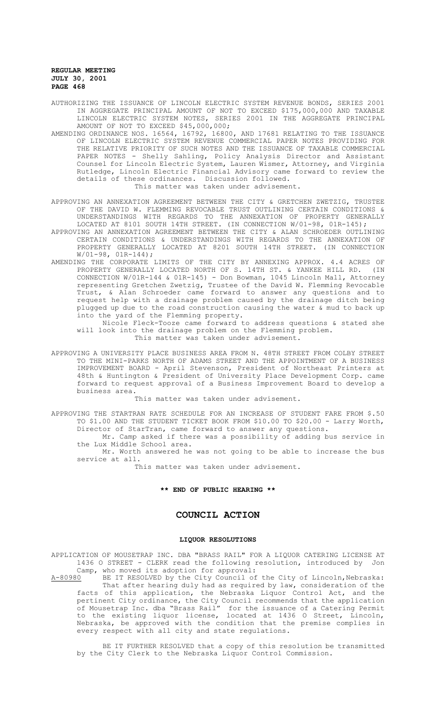- AUTHORIZING THE ISSUANCE OF LINCOLN ELECTRIC SYSTEM REVENUE BONDS, SERIES 2001 IN AGGREGATE PRINCIPAL AMOUNT OF NOT TO EXCEED \$175,000,000 AND TAXABLE LINCOLN ELECTRIC SYSTEM NOTES, SERIES 2001 IN THE AGGREGATE PRINCIPAL AMOUNT OF NOT TO EXCEED \$45,000,000;
- AMENDING ORDINANCE NOS. 16564, 16792, 16800, AND 17681 RELATING TO THE ISSUANCE OF LINCOLN ELECTRIC SYSTEM REVENUE COMMERCIAL PAPER NOTES PROVIDING FOR THE RELATIVE PRIORITY OF SUCH NOTES AND THE ISSUANCE OF TAXABLE COMMERCIAL PAPER NOTES - Shelly Sahling, Policy Analysis Director and Assistant Counsel for Lincoln Electric System, Lauren Wismer, Attorney, and Virginia Rutledge, Lincoln Electric Financial Advisory came forward to review the details of these ordinances. Discussion followed. This matter was taken under advisement.
- APPROVING AN ANNEXATION AGREEMENT BETWEEN THE CITY & GRETCHEN ZWETZIG, TRUSTEE OF THE DAVID W. FLEMMING REVOCABLE TRUST OUTLINING CERTAIN CONDITIONS & UNDERSTANDINGS WITH REGARDS TO THE ANNEXATION OF PROPERTY GENERALLY LOCATED AT 8101 SOUTH 14TH STREET. (IN CONNECTION W/01-98, 01R-145);
- APPROVING AN ANNEXATION AGREEMENT BETWEEN THE CITY & ALAN SCHROEDER OUTLINING CERTAIN CONDITIONS & UNDERSTANDINGS WITH REGARDS TO THE ANNEXATION OF PROPERTY GENERALLY LOCATED AT 8201 SOUTH 14TH STREET. (IN CONNECTION W/01-98, 01R-144);
- AMENDING THE CORPORATE LIMITS OF THE CITY BY ANNEXING APPROX. 4.4 ACRES OF PROPERTY GENERALLY LOCATED NORTH OF S. 14TH ST. & YANKEE HILL RD. (IN CONNECTION W/01R-144 & 01R-145) - Don Bowman, 1045 Lincoln Mall, Attorney representing Gretchen Zwetzig, Trustee of the David W. Flemming Revocable Trust, & Alan Schroeder came forward to answer any questions and to request help with a drainage problem caused by the drainage ditch being plugged up due to the road construction causing the water & mud to back up into the yard of the Flemming property.

Nicole Fleck-Tooze came forward to address questions & stated she will look into the drainage problem on the Flemming problem.

- This matter was taken under advisement.
- APPROVING A UNIVERSITY PLACE BUSINESS AREA FROM N. 48TH STREET FROM COLBY STREET TO THE MINI-PARKS NORTH OF ADAMS STREET AND THE APPOINTMENT OF A BUSINESS IMPROVEMENT BOARD - April Stevenson, President of Northeast Printers at 48th & Huntington & President of University Place Development Corp. came forward to request approval of a Business Improvement Board to develop a business area.

This matter was taken under advisement.

APPROVING THE STARTRAN RATE SCHEDULE FOR AN INCREASE OF STUDENT FARE FROM \$.50 TO \$1.00 AND THE STUDENT TICKET BOOK FROM \$10.00 TO \$20.00 - Larry Worth, Director of StarTran, came forward to answer any questions.

Mr. Camp asked if there was a possibility of adding bus service in the Lux Middle School area.

Mr. Worth answered he was not going to be able to increase the bus service at all.

This matter was taken under advisement.

# **\*\* END OF PUBLIC HEARING \*\***

# **COUNCIL ACTION**

#### **LIQUOR RESOLUTIONS**

APPLICATION OF MOUSETRAP INC. DBA "BRASS RAIL" FOR A LIQUOR CATERING LICENSE AT 1436 O STREET - CLERK read the following resolution, introduced by Jon Camp, who moved its adoption for approval:<br>A-80980 BE IT RESOLVED by the City Council of

BE IT RESOLVED by the City Council of the City of Lincoln, Nebraska: That after hearing duly had as required by law, consideration of the facts of this application, the Nebraska Liquor Control Act, and the pertinent City ordinance, the City Council recommends that the application of Mousetrap Inc. dba "Brass Rail" for the issuance of a Catering Permit to the existing liquor license, located at 1436 O Street, Lincoln, Nebraska, be approved with the condition that the premise complies in every respect with all city and state regulations.

BE IT FURTHER RESOLVED that a copy of this resolution be transmitted by the City Clerk to the Nebraska Liquor Control Commission.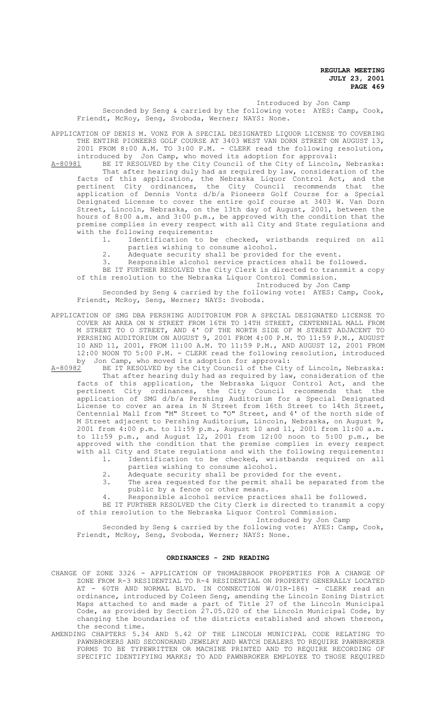Introduced by Jon Camp

Seconded by Seng & carried by the following vote: AYES: Camp, Cook, Friendt, McRoy, Seng, Svoboda, Werner; NAYS: None.

APPLICATION OF DENIS M. VONZ FOR A SPECIAL DESIGNATED LIQUOR LICENSE TO COVERING THE ENTIRE PIONEERS GOLF COURSE AT 3403 WEST VAN DORN STREET ON AUGUST 13, 2001 FROM 8:00 A.M. TO 3:00 P.M. - CLERK read the following resolution,

- introduced by Jon Camp, who moved its adoption for approval:<br>A-80981 BE IT RESOLVED by the City Council of the City of Lincoln BE IT RESOLVED by the City Council of the City of Lincoln, Nebraska: That after hearing duly had as required by law, consideration of the facts of this application, the Nebraska Liquor Control Act, and the pertinent City ordinances, the City Council recommends that the application of Dennis Vontz d/b/a Pioneers Golf Course for a Special Designated License to cover the entire golf course at 3403 W. Van Dorn Street, Lincoln, Nebraska, on the 13th day of August, 2001, between the hours of 8:00 a.m. and 3:00 p.m., be approved with the condition that the premise complies in every respect with all City and State regulations and with the following requirements:<br>1. Identification to b
	- Identification to be checked, wristbands required on all parties wishing to consume alcohol.
	- 2. Adequate security shall be provided for the event.<br>Responsible alcohol service practices shall be fol
	- Responsible alcohol service practices shall be followed.
	- BE IT FURTHER RESOLVED the City Clerk is directed to transmit a copy of this resolution to the Nebraska Liquor Control Commission.

# Introduced by Jon Camp

Seconded by Seng & carried by the following vote: AYES: Camp, Cook, Friendt, McRoy, Seng, Werner; NAYS: Svoboda.

APPLICATION OF SMG DBA PERSHING AUDITORIUM FOR A SPECIAL DESIGNATED LICENSE TO COVER AN AREA ON N STREET FROM 16TH TO 14TH STREET, CENTENNIAL MALL FROM M STREET TO O STREET, AND 4' OF THE NORTH SIDE OF M STREET ADJACENT TO PERSHING AUDITORIUM ON AUGUST 9, 2001 FROM 4:00 P.M. TO 11:59 P.M., AUGUST 10 AND 11, 2001, FROM 11:00 A.M. TO 11:59 P.M., AND AUGUST 12, 2001 FROM 12:00 NOON TO 5:00 P.M. - CLERK read the following resolution, introduced by Jon Camp, who moved its adoption for approval:

A-80982 BE IT RESOLVED by the City Council of the City of Lincoln, Nebraska: That after hearing duly had as required by law, consideration of the facts of this application, the Nebraska Liquor Control Act, and the pertinent City ordinances, the City Council recommends that the application of SMG d/b/a Pershing Auditorium for a Special Designated License to cover an area in N Street from 16th Street to 14th Street, Centennial Mall from "M" Street to "O" Street, and 4' of the north side of M Street adjacent to Pershing Auditorium, Lincoln, Nebraska, on August 9, 2001 from 4:00 p.m. to 11:59 p.m., August 10 and 11, 2001 from 11:00 a.m. to 11:59 p.m., and August 12, 2001 from 12:00 noon to 5:00 p.m., be approved with the condition that the premise complies in every respect with all City and State regulations and with the following requirements:<br>1. Identification to be checked, wristbands required on all

- Identification to be checked, wristbands required on all parties wishing to consume alcohol.
	- 2. Adequate security shall be provided for the event.<br>3. The area requested for the permit shall be separate
- The area requested for the permit shall be separated from the public by a fence or other means.
- 4. Responsible alcohol service practices shall be followed.
- BE IT FURTHER RESOLVED the City Clerk is directed to transmit a copy of this resolution to the Nebraska Liquor Control Commission.

Introduced by Jon Camp

Seconded by Seng & carried by the following vote: AYES: Camp, Cook, Friendt, McRoy, Seng, Svoboda, Werner; NAYS: None.

#### **ORDINANCES - 2ND READING**

- CHANGE OF ZONE 3326 APPLICATION OF THOMASBROOK PROPERTIES FOR A CHANGE OF ZONE FROM R-3 RESIDENTIAL TO R-4 RESIDENTIAL ON PROPERTY GENERALLY LOCATED AT - 60TH AND NORMAL BLVD. IN CONNECTION W/01R-186) - CLERK read an ordinance, introduced by Coleen Seng, amending the Lincoln Zoning District Maps attached to and made a part of Title 27 of the Lincoln Municipal Code, as provided by Section 27.05.020 of the Lincoln Municipal Code, by changing the boundaries of the districts established and shown thereon, the second time.
- AMENDING CHAPTERS 5.34 AND 5.42 OF THE LINCOLN MUNICIPAL CODE RELATING TO PAWNBROKERS AND SECONDHAND JEWELRY AND WATCH DEALERS TO REQUIRE PAWNBROKER FORMS TO BE TYPEWRITTEN OR MACHINE PRINTED AND TO REQUIRE RECORDING OF SPECIFIC IDENTIFYING MARKS; TO ADD PAWNBROKER EMPLOYEE TO THOSE REQUIRED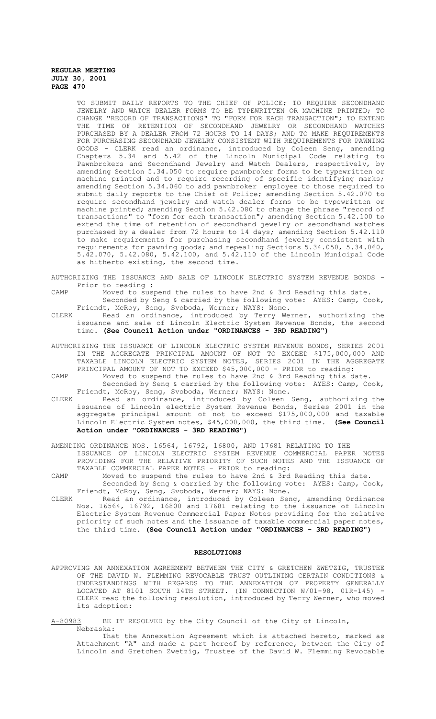TO SUBMIT DAILY REPORTS TO THE CHIEF OF POLICE; TO REQUIRE SECONDHAND JEWELRY AND WATCH DEALER FORMS TO BE TYPEWRITTEN OR MACHINE PRINTED; TO CHANGE "RECORD OF TRANSACTIONS" TO "FORM FOR EACH TRANSACTION"; TO EXTEND THE TIME OF RETENTION OF SECONDHAND JEWELRY OR SECONDHAND WATCHES PURCHASED BY A DEALER FROM 72 HOURS TO 14 DAYS; AND TO MAKE REQUIREMENTS FOR PURCHASING SECONDHAND JEWELRY CONSISTENT WITH REQUIREMENTS FOR PAWNING GOODS - CLERK read an ordinance, introduced by Coleen Seng, amending Chapters 5.34 and 5.42 of the Lincoln Municipal Code relating to Pawnbrokers and Secondhand Jewelry and Watch Dealers, respectively, by amending Section 5.34.050 to require pawnbroker forms to be typewritten or machine printed and to require recording of specific identifying marks; amending Section 5.34.060 to add pawnbroker employee to those required to submit daily reports to the Chief of Police; amending Section 5.42.070 to require secondhand jewelry and watch dealer forms to be typewritten or machine printed; amending Section 5.42.080 to change the phrase "record of transactions" to "form for each transaction"; amending Section 5.42.100 to extend the time of retention of secondhand jewelry or secondhand watches purchased by a dealer from 72 hours to 14 days; amending Section 5.42.110 to make requirements for purchasing secondhand jewelry consistent with requirements for pawning goods; and repealing Sections 5.34.050, 5.34.060, 5.42.070, 5.42.080, 5.42.100, and 5.42.110 of the Lincoln Municipal Code as hitherto existing, the second time.

AUTHORIZING THE ISSUANCE AND SALE OF LINCOLN ELECTRIC SYSTEM REVENUE BONDS - Prior to reading :

CAMP Moved to suspend the rules to have 2nd & 3rd Reading this date.

Seconded by Seng & carried by the following vote: AYES: Camp, Cook, Friendt, McRoy, Seng, Svoboda, Werner; NAYS: None.

CLERK Read an ordinance, introduced by Terry Werner, authorizing the issuance and sale of Lincoln Electric System Revenue Bonds, the second time. **(See Council Action under "ORDINANCES - 3RD READING")**

AUTHORIZING THE ISSUANCE OF LINCOLN ELECTRIC SYSTEM REVENUE BONDS, SERIES 2001 IN THE AGGREGATE PRINCIPAL AMOUNT OF NOT TO EXCEED \$175,000,000 AND TAXABLE LINCOLN ELECTRIC SYSTEM NOTES, SERIES 2001 IN THE AGGREGATE PRINCIPAL AMOUNT OF NOT TO EXCEED \$45,000,000 - PRIOR to reading: CAMP Moved to suspend the rules to have 2nd & 3rd Reading this date.

Seconded by Seng & carried by the following vote: AYES: Camp, Cook, Friendt, McRoy, Seng, Svoboda, Werner; NAYS: None.

CLERK Read an ordinance, introduced by Coleen Seng, authorizing the issuance of Lincoln electric System Revenue Bonds, Series 2001 in the aggregate principal amount of not to exceed \$175,000,000 and taxable Lincoln Electric System notes, \$45,000,000, the third time. **(See Council Action under "ORDINANCES - 3RD READING")**

AMENDING ORDINANCE NOS. 16564, 16792, 16800, AND 17681 RELATING TO THE

- ISSUANCE OF LINCOLN ELECTRIC SYSTEM REVENUE COMMERCIAL PAPER NOTES PROVIDING FOR THE RELATIVE PRIORITY OF SUCH NOTES AND THE ISSUANCE OF TAXABLE COMMERCIAL PAPER NOTES - PRIOR to reading:
- CAMP Moved to suspend the rules to have 2nd & 3rd Reading this date. Seconded by Seng & carried by the following vote: AYES: Camp, Cook, Friendt, McRoy, Seng, Svoboda, Werner; NAYS: None.
- CLERK Read an ordinance, introduced by Coleen Seng, amending Ordinance Nos. 16564, 16792, 16800 and 17681 relating to the issuance of Lincoln Electric System Revenue Commercial Paper Notes providing for the relative priority of such notes and the issuance of taxable commercial paper notes, the third time. **(See Council Action under "ORDINANCES - 3RD READING")**

#### **RESOLUTIONS**

APPROVING AN ANNEXATION AGREEMENT BETWEEN THE CITY & GRETCHEN ZWETZIG, TRUSTEE OF THE DAVID W. FLEMMING REVOCABLE TRUST OUTLINING CERTAIN CONDITIONS & UNDERSTANDINGS WITH REGARDS TO THE ANNEXATION OF PROPERTY GENERALLY LOCATED AT 8101 SOUTH 14TH STREET. (IN CONNECTION W/01-98, 01R-145) - CLERK read the following resolution, introduced by Terry Werner, who moved its adoption:

A-80983 BE IT RESOLVED by the City Council of the City of Lincoln, Nebraska:

That the Annexation Agreement which is attached hereto, marked as Attachment "A" and made a part hereof by reference, between the City of Lincoln and Gretchen Zwetzig, Trustee of the David W. Flemming Revocable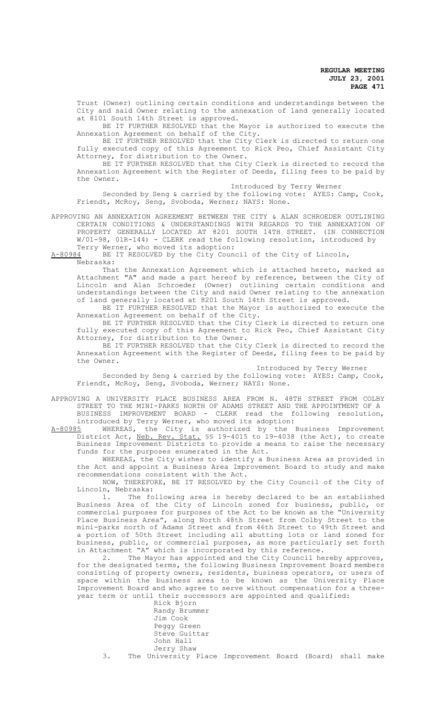Trust (Owner) outlining certain conditions and understandings between the City and said Owner relating to the annexation of land generally located at 8101 South 14th Street is approved.

BE IT FURTHER RESOLVED that the Mayor is authorized to execute the Annexation Agreement on behalf of the City.

BE IT FURTHER RESOLVED that the City Clerk is directed to return one fully executed copy of this Agreement to Rick Peo, Chief Assistant City Attorney, for distribution to the Owner.

BE IT FURTHER RESOLVED that the City Clerk is directed to record the Annexation Agreement with the Register of Deeds, filing fees to be paid by the Owner.

Introduced by Terry Werner

Seconded by Seng & carried by the following vote: AYES: Camp, Cook, Friendt, McRoy, Seng, Svoboda, Werner; NAYS: None.

APPROVING AN ANNEXATION AGREEMENT BETWEEN THE CITY & ALAN SCHROEDER OUTLINING CERTAIN CONDITIONS & UNDERSTANDINGS WITH REGARDS TO THE ANNEXATION OF PROPERTY GENERALLY LOCATED AT 8201 SOUTH 14TH STREET. (IN CONNECTION W/01-98, 01R-144) - CLERK read the following resolution, introduced by

Terry Werner, who moved its adoption:<br>A-80984 BE IT RESOLVED by the City Coune BE IT RESOLVED by the City Council of the City of Lincoln, Nebraska:

That the Annexation Agreement which is attached hereto, marked as Attachment "A" and made a part hereof by reference, between the City of Lincoln and Alan Schroeder (Owner) outlining certain conditions and understandings between the City and said Owner relating to the annexation of land generally located at 8201 South 14th Street is approved.

BE IT FURTHER RESOLVED that the Mayor is authorized to execute the Annexation Agreement on behalf of the City.

BE IT FURTHER RESOLVED that the City Clerk is directed to return one fully executed copy of this Agreement to Rick Peo, Chief Assistant City Attorney, for distribution to the Owner.

BE IT FURTHER RESOLVED that the City Clerk is directed to record the Annexation Agreement with the Register of Deeds, filing fees to be paid by the Owner.

Introduced by Terry Werner

Seconded by Seng & carried by the following vote: AYES: Camp, Cook, Friendt, McRoy, Seng, Svoboda, Werner; NAYS: None.

APPROVING A UNIVERSITY PLACE BUSINESS AREA FROM N. 48TH STREET FROM COLBY STREET TO THE MINI-PARKS NORTH OF ADAMS STREET AND THE APPOINTMENT OF A BUSINESS IMPROVEMENT BOARD - CLERK read the following resolution,

introduced by Terry Werner, who moved its adoption:<br>A-80985 WHEREAS, the City is authorized by the A-80985 WHEREAS, the City is authorized by the Business Improvement District Act, Neb. Rev. Stat. SS 19-4015 to 19-4038 (the Act), to create Business Improvement Districts to provide a means to raise the necessary funds for the purposes enumerated in the Act.

WHEREAS, the City wishes to identify a Business Area as provided in the Act and appoint a Business Area Improvement Board to study and make recommendations consistent with the Act.

NOW, THEREFORE, BE IT RESOLVED by the City Council of the City of Lincoln, Nebraska:

1. The following area is hereby declared to be an established Business Area of the City of Lincoln zoned for business, public, or commercial purposes for purposes of the Act to be known as the "University Place Business Area", along North 48th Street from Colby Street to the mini-parks north of Adams Street and from 46th Street to 49th Street and a portion of 50th Street including all abutting lots or land zoned for business, public, or commercial purposes, as more particularly set forth in Attachment "A" which is incorporated by this reference.

2. The Mayor has appointed and the City Council hereby approves, for the designated terms, the following Business Improvement Board members consisting of property owners, residents, business operators, or users of space within the business area to be known as the University Place Improvement Board and who agree to serve without compensation for a threeyear term or until their successors are appointed and qualified:

Rick Bjorn Randy Brummer Jim Cook Peggy Green Steve Guittar John Hall Jerry Shaw

3. The University Place Improvement Board (Board) shall make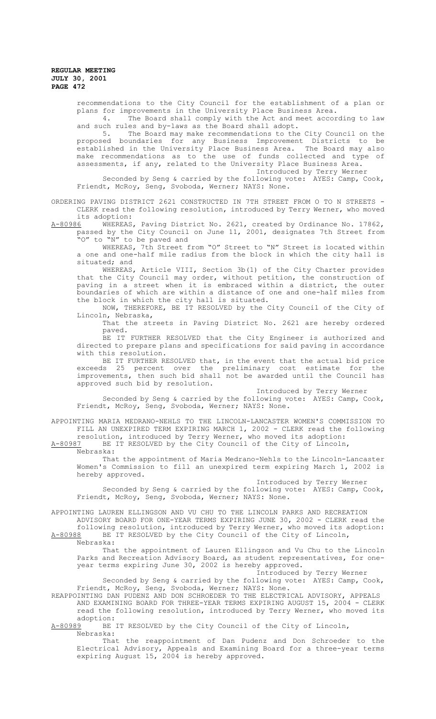recommendations to the City Council for the establishment of a plan or plans for improvements in the University Place Business Area.

4. The Board shall comply with the Act and meet according to law and such rules and by-laws as the Board shall adopt.

5. The Board may make recommendations to the City Council on the proposed boundaries for any Business Improvement Districts to be established in the University Place Business Area. The Board may also make recommendations as to the use of funds collected and type of assessments, if any, related to the University Place Business Area.

Introduced by Terry Werner

Seconded by Seng & carried by the following vote: AYES: Camp, Cook, Friendt, McRoy, Seng, Svoboda, Werner; NAYS: None.

ORDERING PAVING DISTRICT 2621 CONSTRUCTED IN 7TH STREET FROM O TO N STREETS - CLERK read the following resolution, introduced by Terry Werner, who moved its adoption:

A-80986 MHEREAS, Paving District No. 2621, created by Ordinance No. 17862, passed by the City Council on June 11, 2001, designates 7th Street from "O" to "N" to be paved and

WHEREAS, 7th Street from "O" Street to "N" Street is located within a one and one-half mile radius from the block in which the city hall is situated; and

WHEREAS, Article VIII, Section 3b(1) of the City Charter provides that the City Council may order, without petition, the construction of paving in a street when it is embraced within a district, the outer boundaries of which are within a distance of one and one-half miles from the block in which the city hall is situated.

NOW, THEREFORE, BE IT RESOLVED by the City Council of the City of Lincoln, Nebraska,

That the streets in Paving District No. 2621 are hereby ordered paved.

BE IT FURTHER RESOLVED that the City Engineer is authorized and directed to prepare plans and specifications for said paving in accordance with this resolution.

BE IT FURTHER RESOLVED that, in the event that the actual bid price exceeds 25 percent over the preliminary cost estimate for the improvements, then such bid shall not be awarded until the Council has approved such bid by resolution.

Introduced by Terry Werner

Seconded by Seng & carried by the following vote: AYES: Camp, Cook, Friendt, McRoy, Seng, Svoboda, Werner; NAYS: None.

APPOINTING MARIA MEDRANO-NEHLS TO THE LINCOLN-LANCASTER WOMEN'S COMMISSION TO FILL AN UNEXPIRED TERM EXPIRING MARCH 1, 2002 - CLERK read the following resolution, introduced by Terry Werner, who moved its adoption:

A-80987 BE IT RESOLVED by the City Council of the City of Lincoln,

Nebraska:

That the appointment of Maria Medrano-Nehls to the Lincoln-Lancaster Women's Commission to fill an unexpired term expiring March 1, 2002 is hereby approved.

# Introduced by Terry Werner

Seconded by Seng & carried by the following vote: AYES: Camp, Cook, Friendt, McRoy, Seng, Svoboda, Werner; NAYS: None.

APPOINTING LAUREN ELLINGSON AND VU CHU TO THE LINCOLN PARKS AND RECREATION

ADVISORY BOARD FOR ONE-YEAR TERMS EXPIRING JUNE 30, 2002 - CLERK read the following resolution, introduced by Terry Werner, who moved its adoption: A-80988 BE IT RESOLVED by the City Council of the City of Lincoln, Nebraska:

That the appointment of Lauren Ellingson and Vu Chu to the Lincoln Parks and Recreation Advisory Board, as student representatives, for oneyear terms expiring June 30, 2002 is hereby approved.

#### Introduced by Terry Werner

Seconded by Seng & carried by the following vote: AYES: Camp, Cook, Friendt, McRoy, Seng, Svoboda, Werner; NAYS: None.

REAPPOINTING DAN PUDENZ AND DON SCHROEDER TO THE ELECTRICAL ADVISORY, APPEALS AND EXAMINING BOARD FOR THREE-YEAR TERMS EXPIRING AUGUST 15, 2004 - CLERK read the following resolution, introduced by Terry Werner, who moved its adoption:<br>A-80989 BE

BE IT RESOLVED by the City Council of the City of Lincoln, Nebraska:

That the reappointment of Dan Pudenz and Don Schroeder to the Electrical Advisory, Appeals and Examining Board for a three-year terms expiring August 15, 2004 is hereby approved.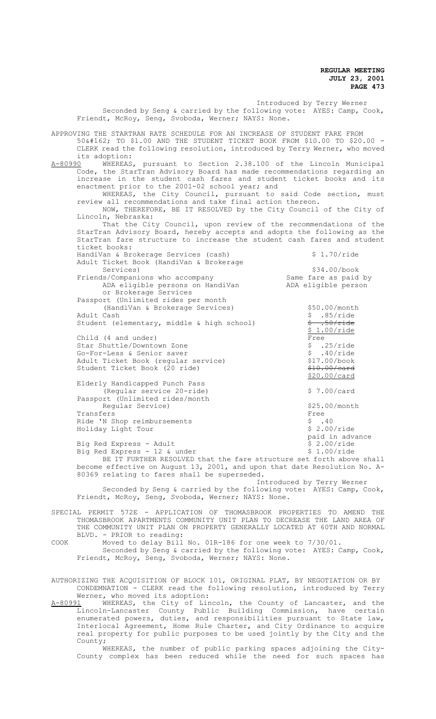Introduced by Terry Werner Seconded by Seng & carried by the following vote: AYES: Camp, Cook, Friendt, McRoy, Seng, Svoboda, Werner; NAYS: None. APPROVING THE STARTRAN RATE SCHEDULE FOR AN INCREASE OF STUDENT FARE FROM 50¢ TO \$1.00 AND THE STUDENT TICKET BOOK FROM \$10.00 TO \$20.00 - CLERK read the following resolution, introduced by Terry Werner, who moved its adoption:<br>A-80990 WHEREAS A-80990 WHEREAS, pursuant to Section 2.38.100 of the Lincoln Municipal Code, the StarTran Advisory Board has made recommendations regarding an increase in the student cash fares and student ticket books and its enactment prior to the 2001-02 school year; and WHEREAS, the City Council, pursuant to said Code section, must review all recommendations and take final action thereon. NOW, THEREFORE, BE IT RESOLVED by the City Council of the City of Lincoln, Nebraska: That the City Council, upon review of the recommendations of the StarTran Advisory Board, hereby accepts and adopts the following as the StarTran fare structure to increase the student cash fares and student ticket books: HandiVan & Brokerage Services (cash)  $$ 1.70/ride$ Adult Ticket Book (HandiVan & Brokerage Services)<br>  $\frac{1}{34.00\text{/book}}$ <br>
Same fare as paid by Friends/Companions who accompany Same fare as paid by ADA eligible person and by ADA eligible person ADA eligible persons on HandiVan or Brokerage Services Passport (Unlimited rides per month (HandiVan & Brokerage Services)  $\frac{550.00}{\text{50.00}}$ <br>Adult Cash  $$ .85/ride$ Student (elementary, middle & high school)  $\frac{2}{7}$  .50/ride \$ 1.00/ride Child (4 and under)<br>
Star Shuttle/Downtown Zone<br>
Co Fam Lace Company are presented and the company of the company of the company of the company of the company Star Shuttle/Downtown Zone  $\begin{array}{ccc} 5 & .25/\text{ride} \\ 5 & .40/\text{ride} \end{array}$ Go-For-Less & Senior saver<br>
Adult Ticket Book (reqular service) (317 00/book Adult Ticket Book (regular service) \$17.00/book Student Ticket Book (20 ride) \$20.00/card Elderly Handicapped Punch Pass (Reqular service 20-ride)  $$ 7.00/card$ Passport (Unlimited rides/month Regular Service)  $\frac{525.00}{\text{month}}$ Transfers Free Ride 'N Shop reimbursements<br>
Holiday Light Tour<br>
\$ 2.00/ride Holiday Light Tour paid in advance<br>\$ 2.00/ride Big Red Express - Adult  $\frac{1}{2}$  8 2.00/ride<br>Big Red Express - 12 & under (Separation S 1.00/ride) Big Red Express - 12 & under BE IT FURTHER RESOLVED that the fare structure set forth above shall become effective on August 13, 2001, and upon that date Resolution No. A-80369 relating to fares shall be superseded. Introduced by Terry Werner Seconded by Seng & carried by the following vote: AYES: Camp, Cook, Friendt, McRoy, Seng, Svoboda, Werner; NAYS: None. SPECIAL PERMIT 572E - APPLICATION OF THOMASBROOK PROPERTIES TO AMEND THE THOMASBROOK APARTMENTS COMMUNITY UNIT PLAN TO DECREASE THE LAND AREA OF THE COMMUNITY UNIT PLAN ON PROPERTY GENERALLY LOCATED AT 60TH AND NORMAL BLVD. - PRIOR to reading: COOK Moved to delay Bill No. 01R-186 for one week to 7/30/01.

Seconded by Seng & carried by the following vote: AYES: Camp, Cook, Friendt, McRoy, Seng, Svoboda, Werner; NAYS: None.

AUTHORIZING THE ACQUISITION OF BLOCK 101, ORIGINAL PLAT, BY NEGOTIATION OR BY CONDEMNATION - CLERK read the following resolution, introduced by Terry Werner, who moved its adoption:

A-80991 WHEREAS, the City of Lincoln, the County of Lancaster, and the Lincoln-Lancaster County Public Building Commission, have certain enumerated powers, duties, and responsibilities pursuant to State law, Interlocal Agreement, Home Rule Charter, and City Ordinance to acquire real property for public purposes to be used jointly by the City and the County;

WHEREAS, the number of public parking spaces adjoining the City-County complex has been reduced while the need for such spaces has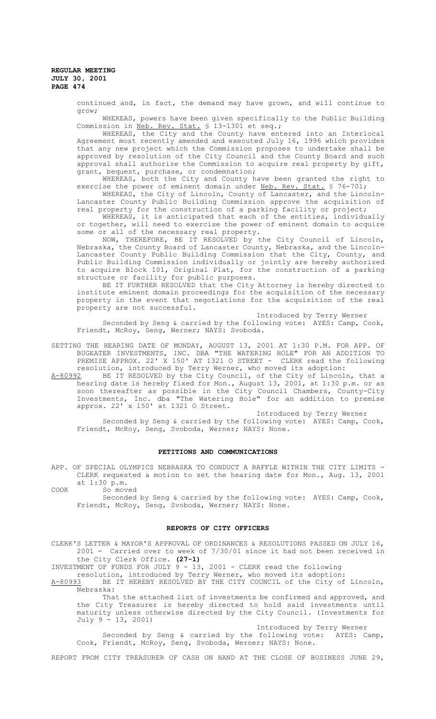> continued and, in fact, the demand may have grown, and will continue to grow;

> WHEREAS, powers have been given specifically to the Public Building Commission in Neb. Rev. Stat. § 13-1301 et seq.;

> WHEREAS, the City and the County have entered into an Interlocal Agreement most recently amended and executed July 16, 1996 which provides that any new project which the Commission proposes to undertake shall be approved by resolution of the City Council and the County Board and such approval shall authorize the Commission to acquire real property by gift, grant, bequest, purchase, or condemnation;

> WHEREAS, both the City and County have been granted the right to exercise the power of eminent domain under Neb. Rev. Stat. § 76-701;

> WHEREAS, the City of Lincoln, County of Lancaster, and the Lincoln-Lancaster County Public Building Commission approve the acquisition of real property for the construction of a parking facility or project;

> WHEREAS, it is anticipated that each of the entities, individually or together, will need to exercise the power of eminent domain to acquire some or all of the necessary real property.

> NOW, THEREFORE, BE IT RESOLVED by the City Council of Lincoln, Nebraska, the County Board of Lancaster County, Nebraska, and the Lincoln-Lancaster County Public Building Commission that the City, County, and Public Building Commission individually or jointly are hereby authorized to acquire Block 101, Original Plat, for the construction of a parking structure or facility for public purposes.

> BE IT FURTHER RESOLVED that the City Attorney is hereby directed to institute eminent domain proceedings for the acquisition of the necessary property in the event that negotiations for the acquisition of the real property are not successful.

> > Introduced by Terry Werner

Seconded by Seng & carried by the following vote: AYES: Camp, Cook, Friendt, McRoy, Seng, Werner; NAYS: Svoboda.

SETTING THE HEARING DATE OF MONDAY, AUGUST 13, 2001 AT 1:30 P.M. FOR APP. OF BUGEATER INVESTMENTS, INC. DBA "THE WATERING HOLE" FOR AN ADDITION TO PREMISE APPROX. 22' X 150' AT 1321 O STREET - CLERK read the following resolution, introduced by Terry Werner, who moved its adoption:<br>A-80992 BE IT RESOLVED by the City Council, of the City of Lincol

BE IT RESOLVED by the City Council, of the City of Lincoln, that a hearing date is hereby fixed for Mon., August 13, 2001, at 1:30 p.m. or as soon thereafter as possible in the City Council Chambers, County-City Investments, Inc. dba "The Watering Hole" for an addition to premise approx. 22' x 150' at 1321 O Street.

Introduced by Terry Werner

Seconded by Seng & carried by the following vote: AYES: Camp, Cook, Friendt, McRoy, Seng, Svoboda, Werner; NAYS: None.

#### **PETITIONS AND COMMUNICATIONS**

APP. OF SPECIAL OLYMPICS NEBRASKA TO CONDUCT A RAFFLE WITHIN THE CITY LIMITS -CLERK requested a motion to set the hearing date for Mon., Aug. 13, 2001 at 1:30 p.m.

COOK So moved

Seconded by Seng & carried by the following vote: AYES: Camp, Cook, Friendt, McRoy, Seng, Svoboda, Werner; NAYS: None.

### **REPORTS OF CITY OFFICERS**

CLERK'S LETTER & MAYOR'S APPROVAL OF ORDINANCES & RESOLUTIONS PASSED ON JULY 16, 2001 - Carried over to week of 7/30/01 since it had not been received in the City Clerk Office. **(27-1)**

INVESTMENT OF FUNDS FOR JULY 9 - 13, 2001 - CLERK read the following

resolution, introduced by Terry Werner, who moved its adoption: A-80993 BE IT HEREBY RESOLVED BY THE CITY COUNCIL of the City of Lincoln,

Nebraska: That the attached list of investments be confirmed and approved, and

the City Treasurer is hereby directed to hold said investments until maturity unless otherwise directed by the City Council. (Investments for July 9 - 13, 2001)

Introduced by Terry Werner Seconded by Seng & carried by the following vote: AYES: Camp, Cook, Friendt, McRoy, Seng, Svoboda, Werner; NAYS: None.

REPORT FROM CITY TREASURER OF CASH ON HAND AT THE CLOSE OF BUSINESS JUNE 29,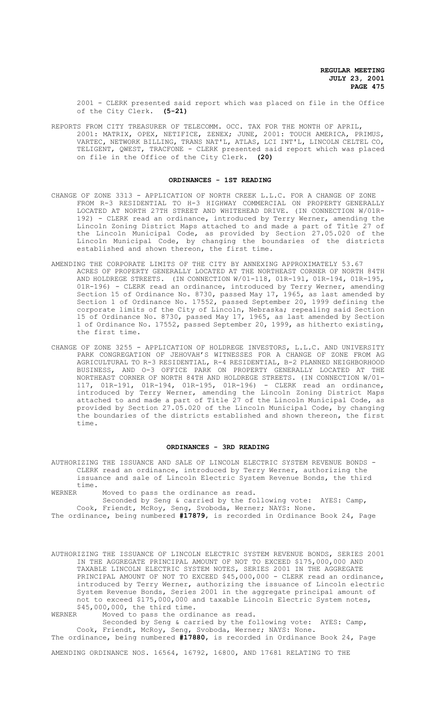2001 - CLERK presented said report which was placed on file in the Office of the City Clerk. **(5-21)**

REPORTS FROM CITY TREASURER OF TELECOMM. OCC. TAX FOR THE MONTH OF APRIL, 2001: MATRIX, OPEX, NETIFICE, ZENEX; JUNE, 2001: TOUCH AMERICA, PRIMUS, VARTEC, NETWORK BILLING, TRANS NAT'L, ATLAS, LCI INT'L, LINCOLN CELTEL CO, TELIGENT, QWEST, TRACFONE - CLERK presented said report which was placed on file in the Office of the City Clerk. **(20)**

#### **ORDINANCES - 1ST READING**

- CHANGE OF ZONE 3313 APPLICATION OF NORTH CREEK L.L.C. FOR A CHANGE OF ZONE FROM R-3 RESIDENTIAL TO H-3 HIGHWAY COMMERCIAL ON PROPERTY GENERALLY LOCATED AT NORTH 27TH STREET AND WHITEHEAD DRIVE. (IN CONNECTION W/01R-192) - CLERK read an ordinance, introduced by Terry Werner, amending the Lincoln Zoning District Maps attached to and made a part of Title 27 of the Lincoln Municipal Code, as provided by Section 27.05.020 of the Lincoln Municipal Code, by changing the boundaries of the districts established and shown thereon, the first time.
- AMENDING THE CORPORATE LIMITS OF THE CITY BY ANNEXING APPROXIMATELY 53.67 ACRES OF PROPERTY GENERALLY LOCATED AT THE NORTHEAST CORNER OF NORTH 84TH AND HOLDREGE STREETS. (IN CONNECTION W/01-118, 01R-191, 01R-194, 01R-195, 01R-196) - CLERK read an ordinance, introduced by Terry Werner, amending Section 15 of Ordinance No. 8730, passed May 17, 1965, as last amended by Section 1 of Ordinance No. 17552, passed September 20, 1999 defining the corporate limits of the City of Lincoln, Nebraska; repealing said Section 15 of Ordinance No. 8730, passed May 17, 1965, as last amended by Section 1 of Ordinance No. 17552, passed September 20, 1999, as hitherto existing, the first time.
- CHANGE OF ZONE 3255 APPLICATION OF HOLDREGE INVESTORS, L.L.C. AND UNIVERSITY PARK CONGREGATION OF JEHOVAH'S WITNESSES FOR A CHANGE OF ZONE FROM AG AGRICULTURAL TO R-3 RESIDENTIAL, R-4 RESIDENTIAL, B-2 PLANNED NEIGHBORHOOD BUSINESS, AND O-3 OFFICE PARK ON PROPERTY GENERALLY LOCATED AT THE NORTHEAST CORNER OF NORTH 84TH AND HOLDREGE STREETS. (IN CONNECTION W/01- 117, 01R-191, 01R-194, 01R-195, 01R-196) - CLERK read an ordinance, introduced by Terry Werner, amending the Lincoln Zoning District Maps attached to and made a part of Title 27 of the Lincoln Municipal Code, as provided by Section 27.05.020 of the Lincoln Municipal Code, by changing the boundaries of the districts established and shown thereon, the first time.

#### **ORDINANCES - 3RD READING**

AUTHORIZING THE ISSUANCE AND SALE OF LINCOLN ELECTRIC SYSTEM REVENUE BONDS - CLERK read an ordinance, introduced by Terry Werner, authorizing the issuance and sale of Lincoln Electric System Revenue Bonds, the third time.

WERNER Moved to pass the ordinance as read.

Seconded by Seng & carried by the following vote: AYES: Camp, Cook, Friendt, McRoy, Seng, Svoboda, Werner; NAYS: None.

The ordinance, being numbered **#17879**, is recorded in Ordinance Book 24, Page

AUTHORIZING THE ISSUANCE OF LINCOLN ELECTRIC SYSTEM REVENUE BONDS, SERIES 2001 IN THE AGGREGATE PRINCIPAL AMOUNT OF NOT TO EXCEED \$175,000,000 AND TAXABLE LINCOLN ELECTRIC SYSTEM NOTES, SERIES 2001 IN THE AGGREGATE PRINCIPAL AMOUNT OF NOT TO EXCEED \$45,000,000 - CLERK read an ordinance, introduced by Terry Werner, authorizing the issuance of Lincoln electric System Revenue Bonds, Series 2001 in the aggregate principal amount of not to exceed \$175,000,000 and taxable Lincoln Electric System notes, \$45,000,000, the third time.<br>WERNER Moved to pass the ordi

Moved to pass the ordinance as read.

Seconded by Seng & carried by the following vote: AYES: Camp, Cook, Friendt, McRoy, Seng, Svoboda, Werner; NAYS: None.

The ordinance, being numbered **#17880**, is recorded in Ordinance Book 24, Page

AMENDING ORDINANCE NOS. 16564, 16792, 16800, AND 17681 RELATING TO THE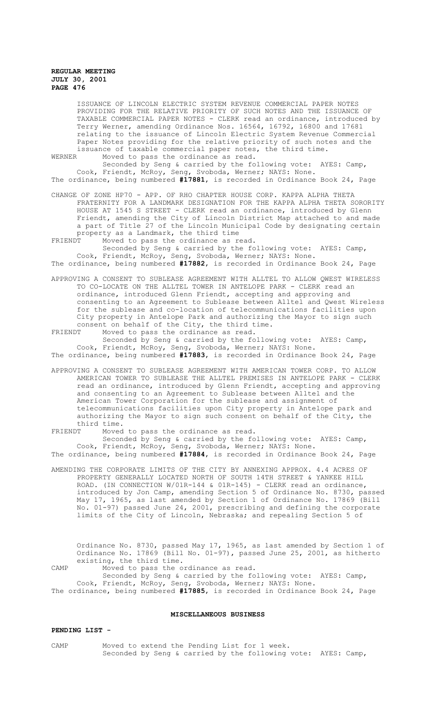ISSUANCE OF LINCOLN ELECTRIC SYSTEM REVENUE COMMERCIAL PAPER NOTES PROVIDING FOR THE RELATIVE PRIORITY OF SUCH NOTES AND THE ISSUANCE OF TAXABLE COMMERCIAL PAPER NOTES - CLERK read an ordinance, introduced by Terry Werner, amending Ordinance Nos. 16564, 16792, 16800 and 17681 relating to the issuance of Lincoln Electric System Revenue Commercial Paper Notes providing for the relative priority of such notes and the issuance of taxable commercial paper notes, the third time.<br>WERNER Moved to pass the ordinance as read Moved to pass the ordinance as read.

Seconded by Seng & carried by the following vote: AYES: Camp, Cook, Friendt, McRoy, Seng, Svoboda, Werner; NAYS: None. The ordinance, being numbered **#17881**, is recorded in Ordinance Book 24, Page

CHANGE OF ZONE HP70 - APP. OF RHO CHAPTER HOUSE CORP. KAPPA ALPHA THETA FRATERNITY FOR A LANDMARK DESIGNATION FOR THE KAPPA ALPHA THETA SORORITY HOUSE AT 1545 S STREET - CLERK read an ordinance, introduced by Glenn Friendt, amending the City of Lincoln District Map attached to and made a part of Title 27 of the Lincoln Municipal Code by designating certain property as a Landmark, the third time<br>FRIENDT Moved to pass the ordinance as re

Moved to pass the ordinance as read.

Seconded by Seng & carried by the following vote: AYES: Camp, Cook, Friendt, McRoy, Seng, Svoboda, Werner; NAYS: None. The ordinance, being numbered **#17882**, is recorded in Ordinance Book 24, Page

APPROVING A CONSENT TO SUBLEASE AGREEMENT WITH ALLTEL TO ALLOW QWEST WIRELESS TO CO-LOCATE ON THE ALLTEL TOWER IN ANTELOPE PARK - CLERK read an ordinance, introduced Glenn Friendt, accepting and approving and consenting to an Agreement to Sublease between Alltel and Qwest Wireless for the sublease and co-location of telecommunications facilities upon City property in Antelope Park and authorizing the Mayor to sign such consent on behalf of the City, the third time.

FRIENDT Moved to pass the ordinance as read. Seconded by Seng & carried by the following vote: AYES: Camp, Cook, Friendt, McRoy, Seng, Svoboda, Werner; NAYS: None.

The ordinance, being numbered **#17883**, is recorded in Ordinance Book 24, Page

APPROVING A CONSENT TO SUBLEASE AGREEMENT WITH AMERICAN TOWER CORP. TO ALLOW AMERICAN TOWER TO SUBLEASE THE ALLTEL PREMISES IN ANTELOPE PARK - CLERK read an ordinance, introduced by Glenn Friendt, accepting and approving and consenting to an Agreement to Sublease between Alltel and the American Tower Corporation for the sublease and assignment of telecommunications facilities upon City property in Antelope park and authorizing the Mayor to sign such consent on behalf of the City, the third time.<br>FRIENDT Moved

Moved to pass the ordinance as read. Seconded by Seng & carried by the following vote: AYES: Camp, Cook, Friendt, McRoy, Seng, Svoboda, Werner; NAYS: None.

The ordinance, being numbered **#17884**, is recorded in Ordinance Book 24, Page

AMENDING THE CORPORATE LIMITS OF THE CITY BY ANNEXING APPROX. 4.4 ACRES OF PROPERTY GENERALLY LOCATED NORTH OF SOUTH 14TH STREET & YANKEE HILL ROAD. (IN CONNECTION  $W/01R-144 \& 01R-145$ ) - CLERK read an ordinance, introduced by Jon Camp, amending Section 5 of Ordinance No. 8730, passed May 17, 1965, as last amended by Section 1 of Ordinance No. 17869 (Bill No. 01-97) passed June 24, 2001, prescribing and defining the corporate limits of the City of Lincoln, Nebraska; and repealing Section 5 of

Ordinance No. 8730, passed May 17, 1965, as last amended by Section 1 of Ordinance No. 17869 (Bill No. 01-97), passed June 25, 2001, as hitherto existing, the third time. CAMP Moved to pass the ordinance as read.

Seconded by Seng & carried by the following vote: AYES: Camp, Cook, Friendt, McRoy, Seng, Svoboda, Werner; NAYS: None. The ordinance, being numbered **#17885**, is recorded in Ordinance Book 24, Page

## **MISCELLANEOUS BUSINESS**

## **PENDING LIST -**

CAMP Moved to extend the Pending List for 1 week. Seconded by Seng & carried by the following vote: AYES: Camp,